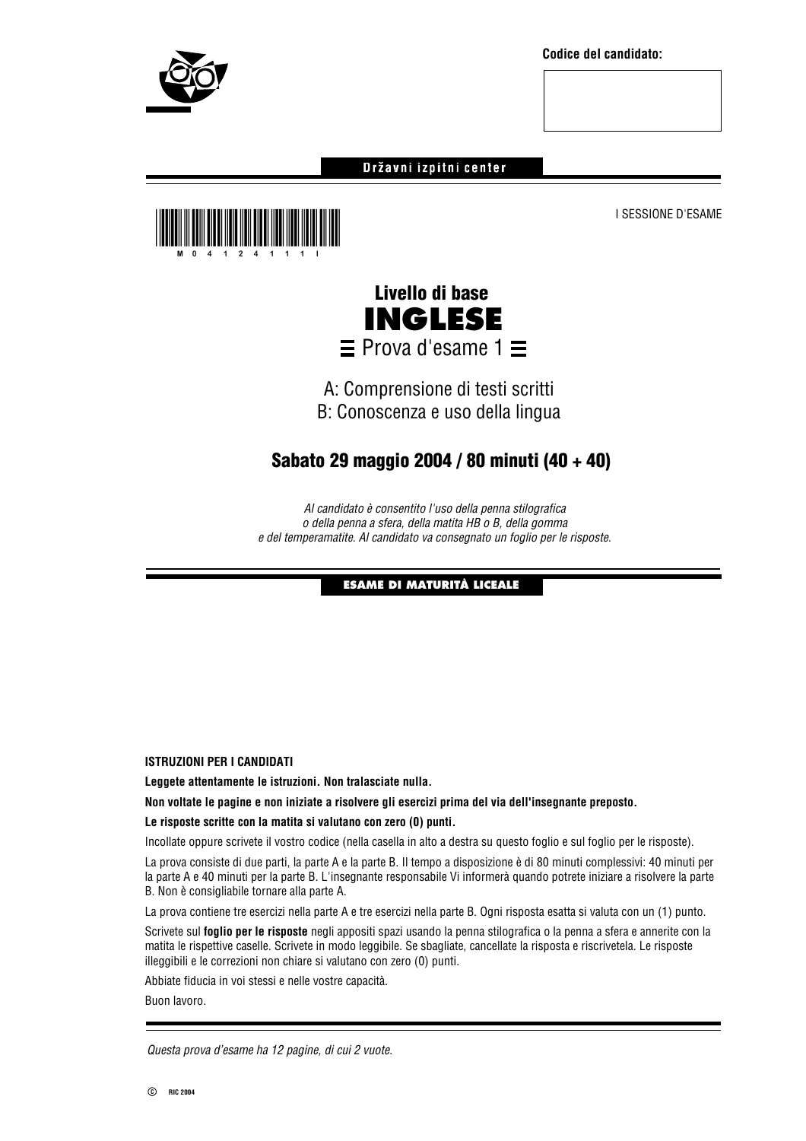

**Codice del candidato:**

#### Državni izpitni center

I SESSIONE D'ESAME





## A: Comprensione di testi scritti B: Conoscenza e uso della lingua

# Sabato 29 maggio 2004 / 80 minuti (40 + 40)

Al candidato è consentito l'uso della penna stilografica o della penna a sfera, della matita HB o B, della gomma e del temperamatite. Al candidato va consegnato un foglio per le risposte.

#### **ESAME DI MATURITÀ LICEALE**

#### **ISTRUZIONI PER I CANDIDATI**

**Leggete attentamente le istruzioni. Non tralasciate nulla.**

**Non voltate le pagine e non iniziate a risolvere gli esercizi prima del via dell'insegnante preposto.**

#### **Le risposte scritte con la matita si valutano con zero (0) punti.**

Incollate oppure scrivete il vostro codice (nella casella in alto a destra su questo foglio e sul foglio per le risposte).

La prova consiste di due parti, la parte A e la parte B. Il tempo a disposizione è di 80 minuti complessivi: 40 minuti per la parte A e 40 minuti per la parte B. L'insegnante responsabile Vi informerà quando potrete iniziare a risolvere la parte B. Non è consigliabile tornare alla parte A.

La prova contiene tre esercizi nella parte A e tre esercizi nella parte B. Ogni risposta esatta si valuta con un (1) punto.

Scrivete sul **foglio per le risposte** negli appositi spazi usando la penna stilografica o la penna a sfera e annerite con la matita le rispettive caselle. Scrivete in modo leggibile. Se sbagliate, cancellate la risposta e riscrivetela. Le risposte illeggibili e le correzioni non chiare si valutano con zero (0) punti.

Abbiate fiducia in voi stessi e nelle vostre capacità.

Buon lavoro.

Questa prova d'esame ha 12 pagine, di cui 2 vuote.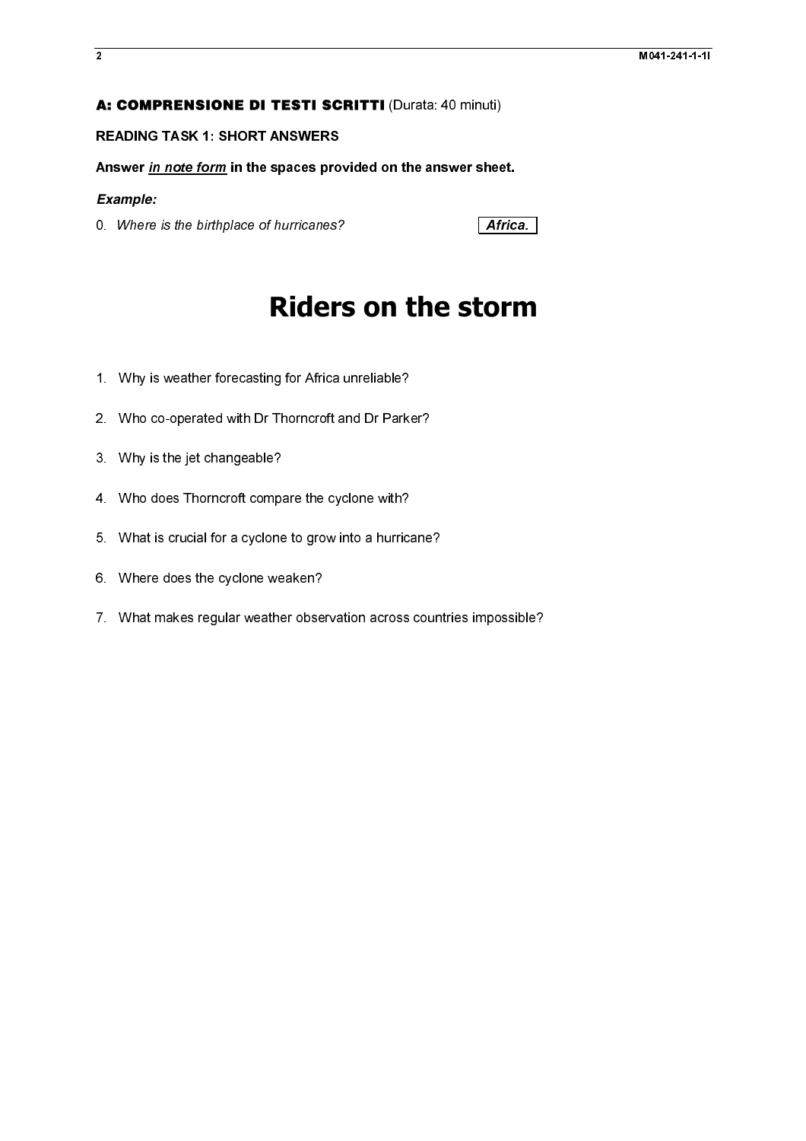#### A: COMPRENSIONE DI TESTI SCRITTI (Durata: 40 minuti)

#### *Example:*

# Example:<br>
Answer is the birthplace of hurricanes?<br> **Answer is the birthplace of hurricanes?**<br> **A.** Why is weather forecasting for Africa unreliable?<br>
2. Who co-operated with Dr Thomcroft and Dr Parker?<br>
3. Why is the jet c 0. Where is the birthplace of hurricanes?<br> **Riders on the storm**<br>
1. Why is weather forecasting for Africa unreliable?<br>
2. Who co-operated with Dr Thomcroft and Dr Parker?<br>
3. Why is the jet changeable?<br>
4. Who does Thornc Riders on the storm

- 1. Why is weather forecasting for Africa unreliable?
- For the Spaces pro<br>
For the Spaces pro<br>
Example:<br>
O. Where is the birthplace of hurricanes?<br>
Rider<br>
2. Who co-operated with Dr Thorncroft can<br>
3. Why is the jet changeable?<br>
4. Who does Thorncroft compare the cy<br>
5. What i 2. Who co-operated with Dr Thorncroft and Dr Parker?
- 3. Why is the jet changeable?
- 4. Who does Thorncroft compare the cyclone with?
- 5. What is crucial for a cyclone to grow into a hurricane?
- 6. Where does the cyclone weaken?
- 7. What makes regular weather observation across countries impossible?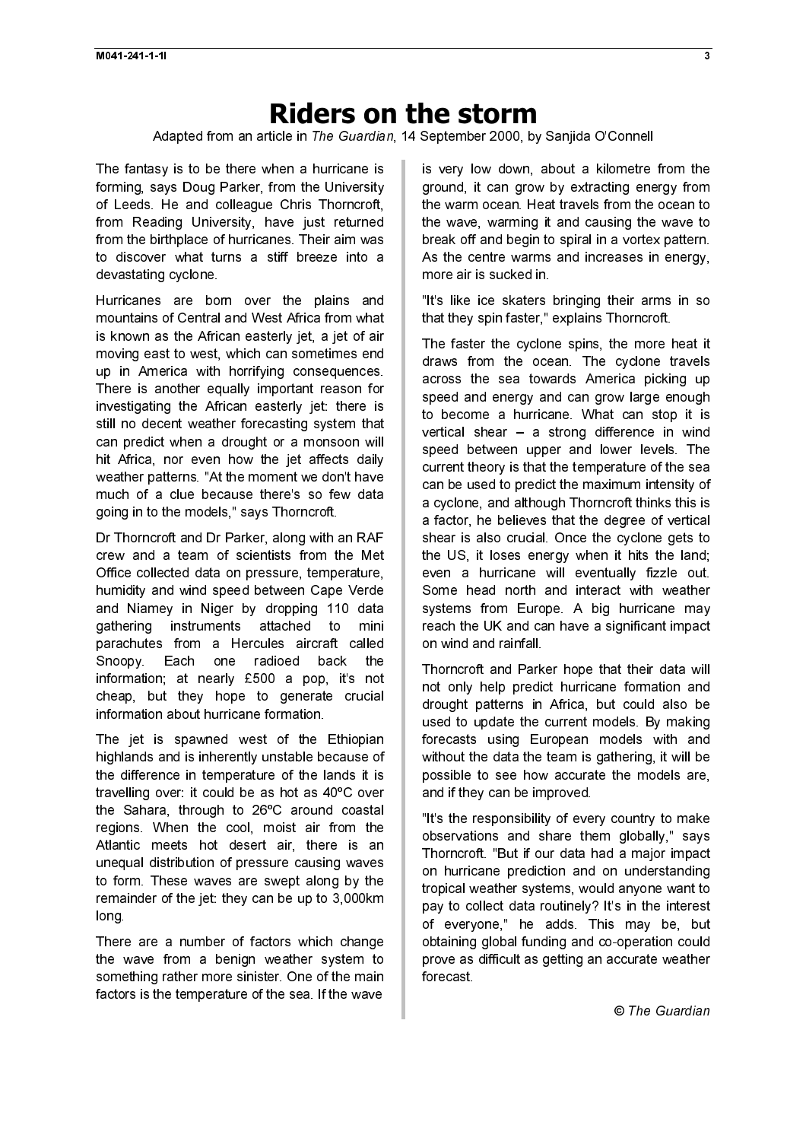# Riders on the storm

Adapted from an article in The Guardian, 14 September 2000, by Sanjida O'Connell 

The fantasy is to be there when a hurricane is forming, says Doug Parker, from the University of Leeds. He and colleague Chris Thorncroft, from Reading University, have just returned from the birthplace of hurricanes. Their aim was to discover what turns a stiff breeze into a devastating cyclone.

Hurricanes are born over the plains and mountains of Central and West Africa from what is known as the African easterly jet, a jet of air moving east to west, which can sometimes end up in America with horrifying consequences. There is another equally important reason for investigating the African easterly jet: there is still no decent weather forecasting system that can predict when a drought or a monsoon will hit Africa, nor even how the jet affects daily weather patterns. "At the moment we don't have much of a clue because there's so few data going in to the models," says Thorncroft.

Dr Thorncroft and Dr Parker, along with an RAF crew and a team of scientists from the Met Office collected data on pressure, temperature, humidity and wind speed between Cape Verde and Niamey in Niger by dropping 110 data gathering instruments attached to mini parachutes from a Hercules aircraft called Snoopy. Each one radioed back the information; at nearly £500 a pop, it's not cheap, but they hope to generate crucial information about hurricane formation.

The jet is spawned west of the Ethiopian highlands and is inherently unstable because of the difference in temperature of the lands it is travelling over: it could be as hot as 40ºC over the Sahara, through to 26ºC around coastal regions. When the cool, moist air from the Atlantic meets hot desert air, there is an unequal distribution of pressure causing waves to form. These waves are swept along by the remainder of the jet: they can be up to 3,000km long.

There are a number of factors which change the wave from a benign weather system to something rather more sinister. One of the main factors is the temperature of the sea. If the wave is very low down, about a kilometre from the ground, it can grow by extracting energy from the warm ocean. Heat travels from the ocean to the wave, warming it and causing the wave to break off and begin to spiral in a vortex pattern. As the centre warms and increases in energy, more air is sucked in.

"It's like ice skaters bringing their arms in so that they spin faster," explains Thorncroft.

The faster the cyclone spins, the more heat it draws from the ocean. The cyclone travels across the sea towards America picking up speed and energy and can grow large enough to become a hurricane. What can stop it is vertical shear – a strong difference in wind speed between upper and lower levels. The current theory is that the temperature of the sea can be used to predict the maximum intensity of a cyclone, and although Thorncroft thinks this is a factor, he believes that the degree of vertical shear is also crucial. Once the cyclone gets to the US, it loses energy when it hits the land; even a hurricane will eventually fizzle out. Some head north and interact with weather systems from Europe. A big hurricane may reach the UK and can have a significant impact on wind and rainfall.

Thorncroft and Parker hope that their data will not only help predict hurricane formation and drought patterns in Africa, but could also be used to update the current models. By making forecasts using European models with and without the data the team is gathering, it will be possible to see how accurate the models are, and if they can be improved.

"It's the responsibility of every country to make observations and share them globally," says Thorncroft. "But if our data had a major impact on hurricane prediction and on understanding tropical weather systems, would anyone want to pay to collect data routinely? It's in the interest of everyone," he adds. This may be, but obtaining global funding and co-operation could prove as difficult as getting an accurate weather forecast.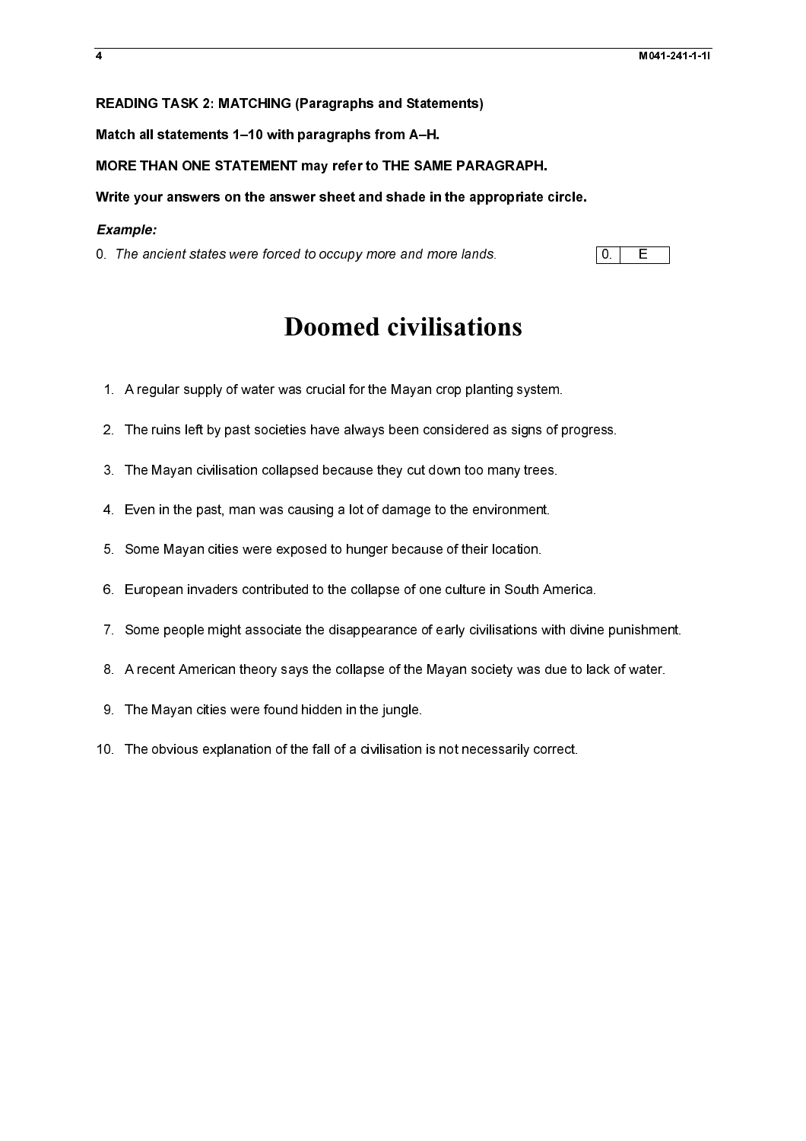READING TASK 2: MATCHING (Paragraphs and Statements)

Match all statements 1–10 with paragraphs from A–H.

MORE THAN ONE STATEMENT may refer to THE SAME PARAGRAPH.

Write your answers on the answer sheet and shade in the appropriate circle.

#### *Example:*

0. The ancient states were forced to occupy more and more lands. 0. E

# Doomed civilisations

- 1. A regular supply of water was crucial for the Mayan crop planting system.
- 2. The ruins left by past societies have always been considered as signs of progress.
- 3. The Mayan civilisation collapsed because they cut down too many trees.
- 4. Even in the past, man was causing a lot of damage to the environment.
- 5. Some Mayan cities were exposed to hunger because of their location.
- 6. European invaders contributed to the collapse of one culture in South America.
- 7. Some people might associate the disappearance of early civilisations with divine punishment.
- 8. A recent American theory says the collapse of the Mayan society was due to lack of water.
- 9. The Mayan cities were found hidden in the jungle.
- 10. The obvious explanation of the fall of a civilisation is not necessarily correct.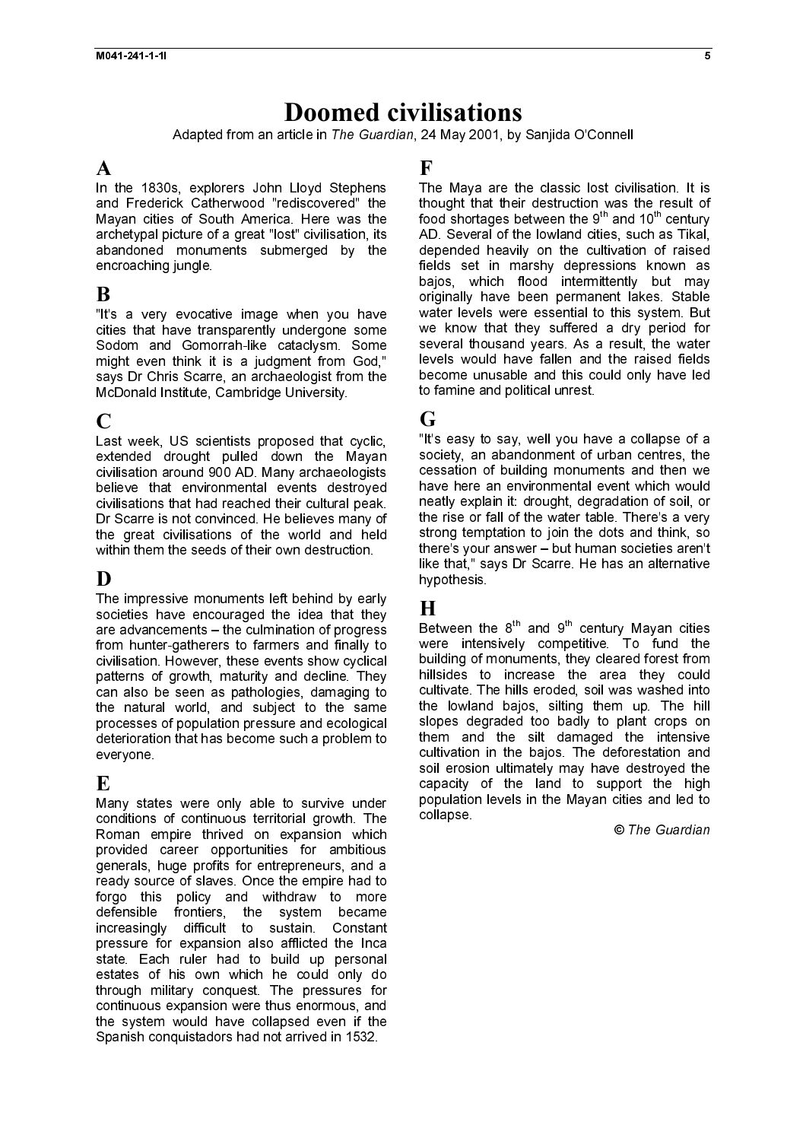# Doomed civilisations

Adapted from an article in The Guardian, 24 May 2001, by Sanjida O'Connell

#### A

In the 1830s, explorers John Lloyd Stephens and Frederick Catherwood "rediscovered" the Mayan cities of South America. Here was the archetypal picture of a great "lost" civilisation, its abandoned monuments submerged by the encroaching jungle.

#### B

"It's a very evocative image when you have cities that have transparently undergone some Sodom and Gomorrah-like cataclysm. Some might even think it is a judgment from God," says Dr Chris Scarre, an archaeologist from the McDonald Institute, Cambridge University.

#### $\mathbf C$

Last week, US scientists proposed that cyclic, extended drought pulled down the Mayan civilisation around 900 AD. Many archaeologists believe that environmental events destroyed civilisations that had reached their cultural peak. Dr Scarre is not convinced. He believes many of the great civilisations of the world and held within them the seeds of their own destruction.

## D

The impressive monuments left behind by early societies have encouraged the idea that they are advancements – the culmination of progress from hunter-gatherers to farmers and finally to civilisation. However, these events show cyclical patterns of growth, maturity and decline. They can also be seen as pathologies, damaging to the natural world, and subject to the same processes of population pressure and ecological deterioration that has become such a problem to everyone.

## E

Many states were only able to survive under conditions of continuous territorial growth. The Roman empire thrived on expansion which provided career opportunities for ambitious generals, huge profits for entrepreneurs, and a ready source of slaves. Once the empire had to forgo this policy and withdraw to more defensible frontiers, the system became increasingly difficult to sustain. Constant pressure for expansion also afflicted the Inca state. Each ruler had to build up personal estates of his own which he could only do through military conquest. The pressures for continuous expansion were thus enormous, and the system would have collapsed even if the Spanish conquistadors had not arrived in 1532.

#### $\mathbf F$

The Maya are the classic lost civilisation. It is thought that their destruction was the result of food shortages between the  $9<sup>th</sup>$  and  $10<sup>th</sup>$  century AD. Several of the lowland cities, such as Tikal, depended heavily on the cultivation of raised fields set in marshy depressions known as bajos, which flood intermittently but may originally have been permanent lakes. Stable water levels were essential to this system. But we know that they suffered a dry period for several thousand years. As a result, the water levels would have fallen and the raised fields become unusable and this could only have led to famine and political unrest.

## G

"It's easy to say, well you have a collapse of a society, an abandonment of urban centres, the cessation of building monuments and then we have here an environmental event which would neatly explain it: drought, degradation of soil, or the rise or fall of the water table. There's a very strong temptation to join the dots and think, so there's your answer – but human societies aren't like that," says Dr Scarre. He has an alternative hypothesis.

# H

Between the  $8^{th}$  and  $9^{th}$  century Mayan cities were intensively competitive. To fund the building of monuments, they cleared forest from hillsides to increase the area they could cultivate. The hills eroded, soil was washed into the lowland bajos, silting them up. The hill slopes degraded too badly to plant crops on them and the silt damaged the intensive cultivation in the bajos. The deforestation and soil erosion ultimately may have destroyed the capacity of the land to support the high population levels in the Mayan cities and led to collapse.

© The Guardian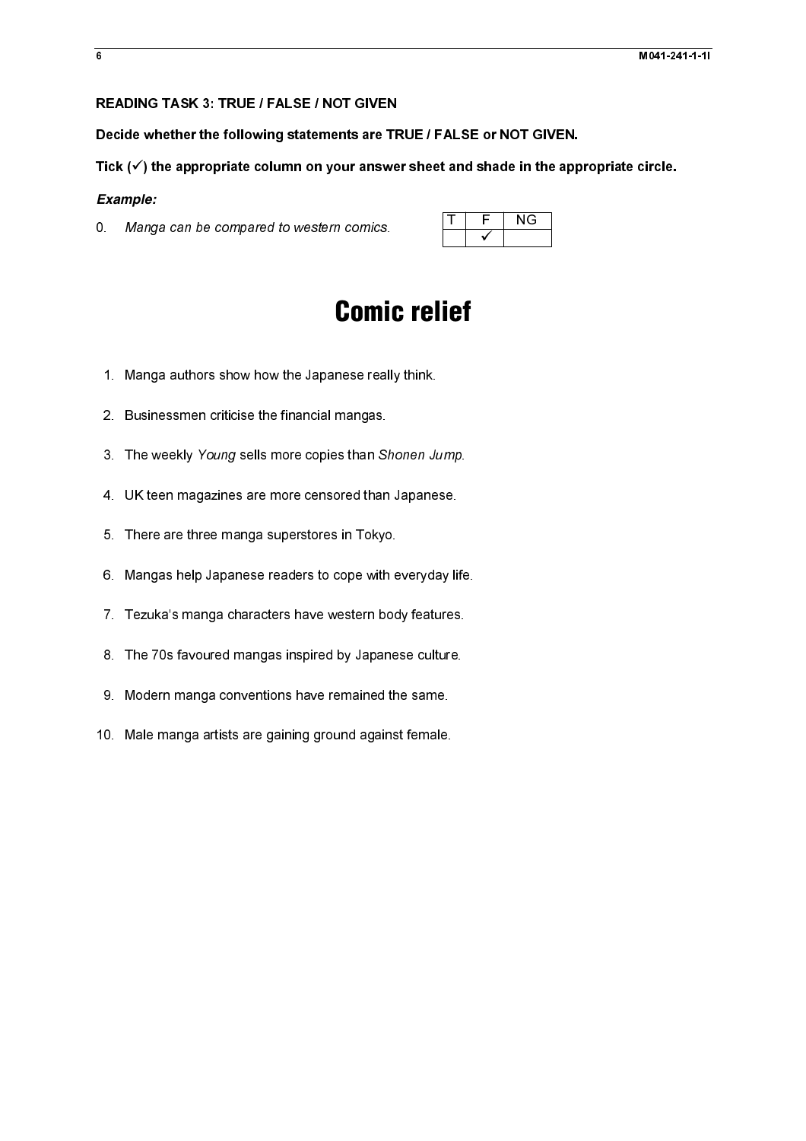#### READING TASK 3: TRUE / FALSE / NOT GIVEN

Decide whether the following statements are TRUE / FALSE or NOT GIVEN.

#### Tick  $(\checkmark)$  the appropriate column on your answer sheet and shade in the appropriate circle.

#### *Example:*

 $\overline{0}$ Manga can be compared to western comics.

# Comic relief

- 1. Manga authors show how the Japanese really think.
- 2. Businessmen criticise the financial mangas.
- 3. The weekly Young sells more copies than Shonen Jump.
- 4. UK teen magazines are more censored than Japanese.
- 5. There are three manga superstores in Tokyo.
- 0. Manga can be compared to western comics.<br>
COMIC relief<br>
1. Manga authors show how the Japanese really think.<br>
2. Businessmen criticise the financial mangas.<br>
3. The weekly Young sells more consored than Shonen Jump.<br>
4. 6. Mangas help Japanese readers to cope with everyday life.
- 7. Tezuka's manga characters have western body features.
- 8. The 70s favoured mangas inspired by Japanese culture.
- 9. Modern manga conventions have remained the same.
- 2. Businessmen criticise the financial mangas.<br>
1. The weekly Young sells more copies than *Shonen J*<br>
1. UK teen magazines are more censored than Japane<br>
5. There are three manga superstores in Tokyo.<br>
1. Mangas help Japa 2. Business Manuscal manuscal manuscal manuscal<br>3. The weekly Young sells more consored than<br>5. There are three manga superstores in Toky<br>6. Mangas help Japanese readers to cope with<br>7. Tezuka's manga characters have weste 3. UK teen magazines are more censored than Japanese.<br>5. There are three manga superstores in Tokyo.<br>6. Mangas help Japanese readers to cope with everyday life<br>7. Tezuka's manga characters have western body features.<br>8. Th 4. There are three manga superstores in Tokyo.<br>
4. Mangas help Japanese readers to cope with everyday life 7. Tezuka's manga characters have western body features<br>
4. The 70s favoured mangas inspired by Japanese culture.<br> 5. Mangas help Japanese readers to cope with e<br>7. Tezuka's manga characters have western bod<br>8. The 70s favoured mangas inspired by Japane<br>9. Modern manga conventions have remained th<br>10. Male manga artists are gaining gro Figure 1. The Tos favoured mangas inspired by Japanese culture.<br>
6. The 70s favoured mangas inspired by Japanese culture.<br>
9. Modern manga conventions have remained the same.<br>
10. Male manga artists are gaining ground agai 7. Tezuka's manga characters have western body features.<br>8. The 70s favoured mangas inspired by Japanese culture.<br>9. Modern manga conventions have remained the same.<br>10. Male manga artists are gaining ground against female 9. Modern manga conventions have remained the same.<br>10. Male manga artists are gaining ground against female. 9. Male manga artists are gaining ground against female.<br>10. Male manga artists are gaining ground against female. 10. Male manga artists are gaining ground against female. 10. Male manga artists are gaining ground against female.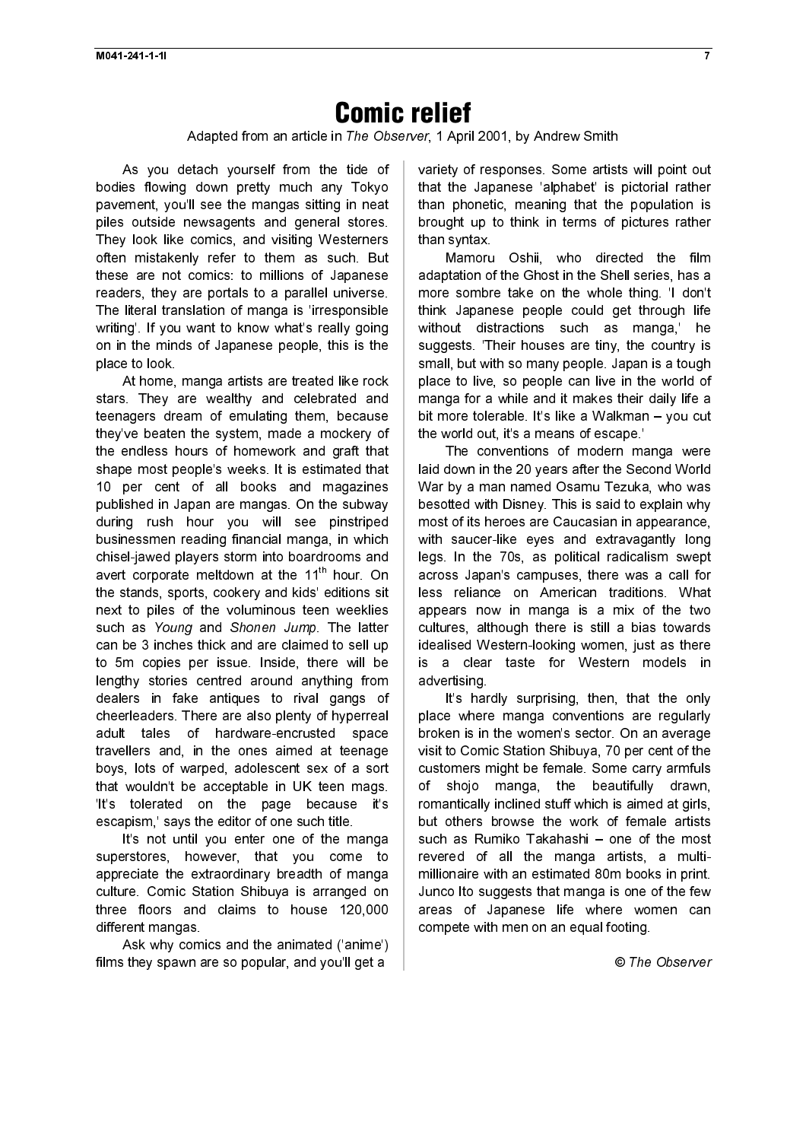# Comic relief

Adapted from an article in The Observer, 1 April 2001, by Andrew Smith

As you detach yourself from the tide of bodies flowing down pretty much any Tokyo pavement, you'll see the mangas sitting in neat piles outside newsagents and general stores. They look like comics, and visiting Westerners often mistakenly refer to them as such. But these are not comics: to millions of Japanese readers, they are portals to a parallel universe. The literal translation of manga is 'irresponsible writing'. If you want to know what's really going on in the minds of Japanese people, this is the place to look.

Adapted from an article in The Observer, 1 April 2001, by Andrew Smith<br>Hash down pretty much any Tokyo Inta the Japanese "a phats the studies"<br>down pretty much any Tokyo Inta the Japanese "a phats the studies"<br>someons, an At home, manga artists are treated like rock stars. They are wealthy and celebrated and teenagers dream of emulating them, because they've beaten the system, made a mockery of the endless hours of homework and graft that shape most people's weeks. It is estimated that 10 per cent of all books and magazines published in Japan are mangas. On the subway during rush hour you will see pinstriped businessmen reading financial manga, in which chisel-jawed players storm into boardrooms and avert corporate meltdown at the 11<sup>th</sup> hour. On the stands, sports, cookery and kids' editions sit next to piles of the voluminous teen weeklies such as Young and Shonen Jump. The latter such as *Young* and *Shonen Jump*. The latter<br>can be 3 inches thick and are claimed to sell up<br>to 5m copies per issue. Inside, there will be<br>lengthy stories centred around anything from<br>dealers in fake antiques to rival ga can be 3 inches thick and are claimed to sell up to 5m copies per issue. Inside, there will be lengthy stories centred around anything from dealers in fake antiques to rival gangs of cheerleaders. There are also plenty of hyperreal adult tales of hardware-encrusted space travellers and, in the ones aimed at teenage boys, lots of warped, adolescent sex of a sort that wouldn't be acceptable in UK teen mags. 'It's tolerated on the page because it's escapism,' says the editor of one such title.

It's not until you enter one of the manga superstores, however, that you come to appreciate the extraordinary breadth of manga culture. Comic Station Shibuya is arranged on three floors and claims to house 120,000 different mangas.

Ask why comics and the animated ('anime') films they spawn are so popular, and you'll get a

variety of responses. Some artists will point out that the Japanese 'alphabet' is pictorial rather than phonetic, meaning that the population is brought up to think in terms of pictures rather than syntax.

Mamoru Oshii, who directed the film adaptation of the Ghost in the Shell series, has a more sombre take on the whole thing. 'I don't think Japanese people could get through life without distractions such as manga,' he suggests. 'Their houses are tiny, the country is small, but with so many people. Japan is a tough place to live, so people can live in the world of manga for a while and it makes their daily life a bit more tolerable. It's like a Walkman – you cut the world out, it's a means of escape.'

The conventions of modern manga were laid down in the 20 years after the Second World War by a man named Osamu Tezuka, who was besotted with Disney. This is said to explain why most of its heroes are Caucasian in appearance, with saucer-like eyes and extravagantly long legs. In the 70s, as political radicalism swept across Japan's campuses, there was a call for less reliance on American traditions. What appears now in manga is a mix of the two cultures, although there is still a bias towards idealised Western-looking women, just as there is a clear taste for Western models in advertising.

It's hardly surprising, then, that the only place where manga conventions are regularly broken is in the women's sector. On an average visit to Comic Station Shibuya, 70 per cent of the customers might be female. Some carry armfuls of shojo manga, the beautifully drawn, romantically inclined stuff which is aimed at girls, but others browse the work of female artists such as Rumiko Takahashi – one of the most revered of all the manga artists, a multimillionaire with an estimated 80m books in print. Junco Ito suggests that manga is one of the few areas of Japanese life where women can compete with men on an equal footing.

> © The Observer © The Observer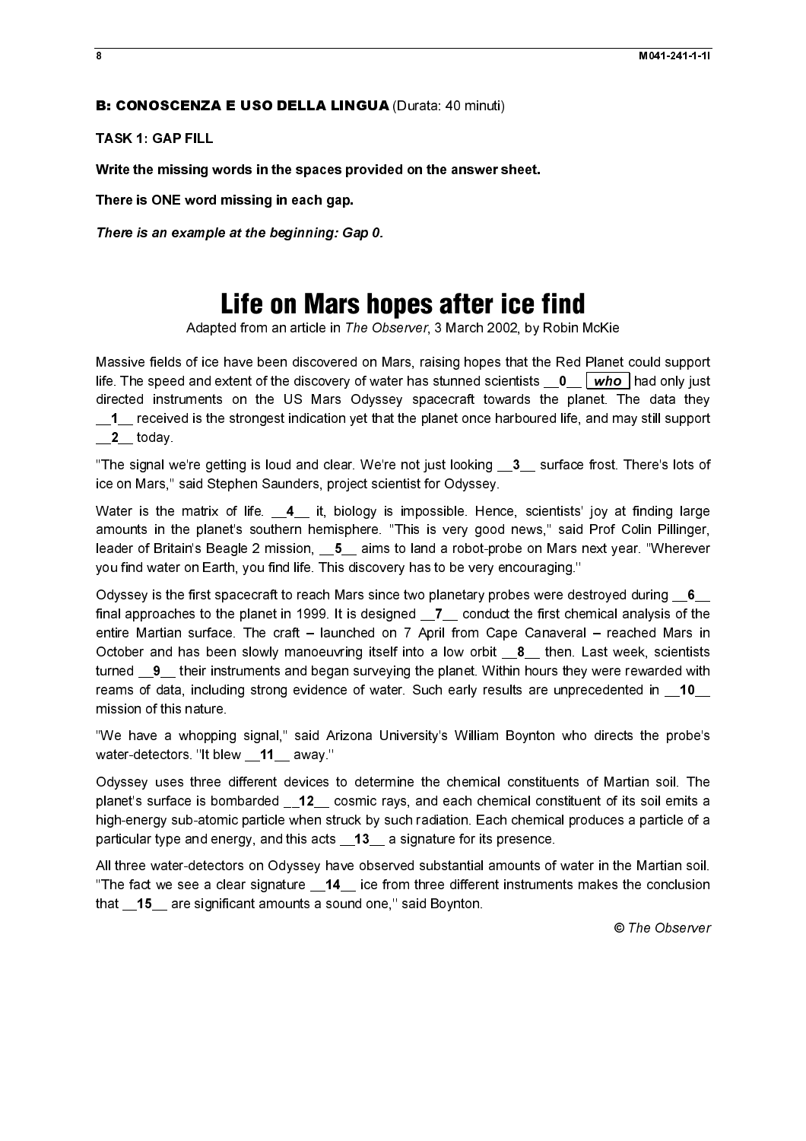TASK 1: GAP FILL

Write the missing words in the spaces provided on the answer sheet.

There is ONE word missing in each gap.

# Life on Mars hopes after ice find

Adapted from an article in The Observer, 3 March 2002, by Robin McKie

Massive fields of ice have been discovered on Mars, raising hopes that the Red Planet could support directed instruments on the US Mars Odyssey spacecraft towards the planet. The data they 1 received is the strongest indication yet that the planet once harboured life, and may still support 2 today.

"The signal we're getting is loud and clear. We're not just looking \_\_3\_\_ surface frost. There's lots of ice on Mars,'' said Stephen Saunders, project scientist for Odyssey.

Water is the matrix of life. \_\_4\_\_ it, biology is impossible. Hence, scientists' joy at finding large amounts in the planet's southern hemisphere. "This is very good news," said Prof Colin Pillinger, leader of Britain's Beagle 2 mission, \_\_5\_\_ aims to land a robot-probe on Mars next year. "Wherever you find water on Earth, you find life. This discovery has to be very encouraging.''

**B: CONOSCENZA E USO DELLA LINGUA** (Durata: 40 minuti)<br>TASK 1: GAP FILL<br>Write the missing words in the spaces provided on the answer s<br>There is ONE word missing in each gap.<br>There is ONE word missing in each gap.<br>There is There is an example at the beginning: Gap 0.<br>
Life on Mars in Gap 1<br>
Adapted from an article in The Ob<br>
life. The speed and extent of the discovery of wa<br>
life. The speed and extent of the discovery of wa<br>  $\frac{-1}{2}$  to te life The speed and extent of the discovery of water has stunned scenarios  $\underline{u} = \underline{u}$  model. The speed and extent of the discovery operator when the figure of the discovery of the speed and the planet concerned the mor Odyssey is the first spacecraft to reach Mars since two planetary probes were destroyed during 6 final approaches to the planet in 1999. It is designed \_\_7\_\_ conduct the first chemical analysis of the entire Martian surface. The craft – launched on 7 April from Cape Canaveral – reached Mars in October and has been slowly manoeuvring itself into a low orbit \_\_8\_\_ then. Last week, scientists turned **9**\_ their instruments and began surveying the planet. Within hours they were rewarded with reams of data, including strong evidence of water. Such early results are unprecedented in 10 mission of this nature.

''We have a whopping signal,'' said Arizona University's William Boynton who directs the probe's water-detectors. "It blew \_\_11\_\_ away."

Odyssey uses three different devices to determine the chemical constituents of Martian soil. The planet's surface is bombarded 12 cosmic rays, and each chemical constituent of its soil emits a high-energy sub-atomic particle when struck by such radiation. Each chemical produces a particle of a particular type and energy, and this acts **13** a signature for its presence.

All three water-detectors on Odyssey have observed substantial amounts of water in the Martian soil. "The fact we see a clear signature  $14$  ice from three different instruments makes the conclusion that **15\_** are significant amounts a sound one," said Boynton.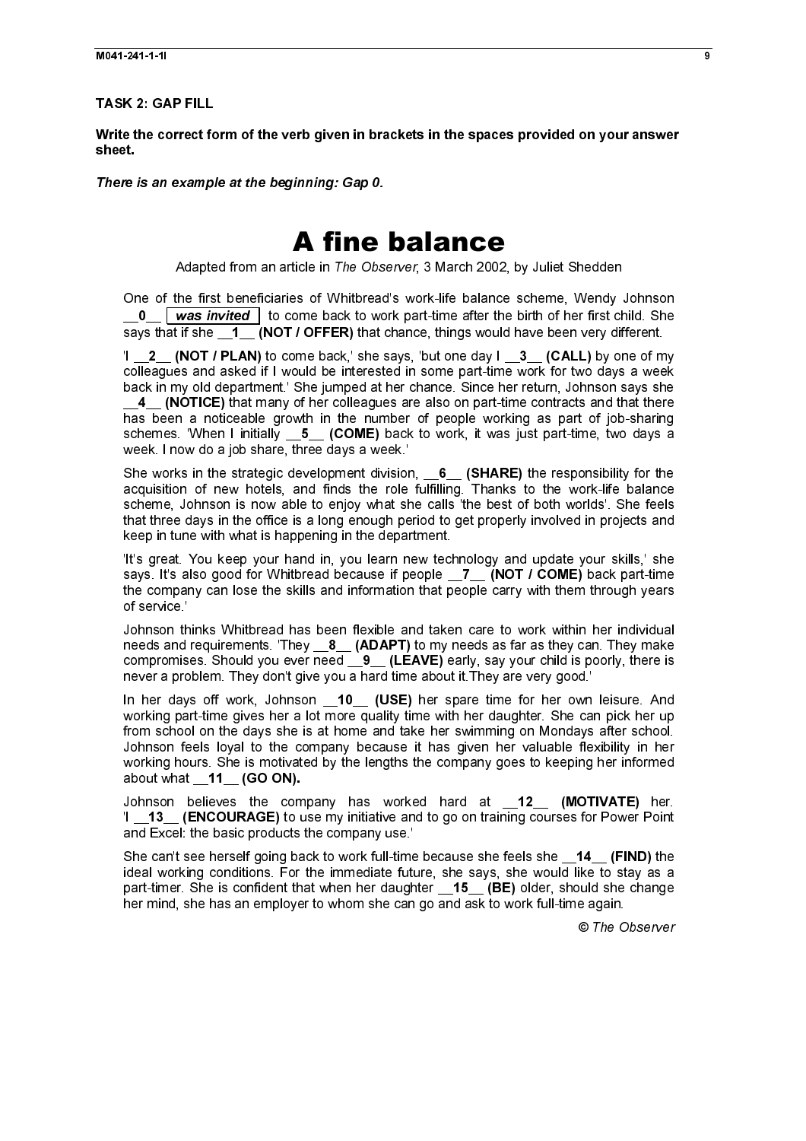TASK 2: GAP FILL

Write the correct form of the verb given in brackets in the spaces provided on your answer sheet.

There is an example at the beginning: Gap 0.

# A fine balance

Adapted from an article in The Observer, 3 March 2002, by Juliet Shedden

One of the first beneficiaries of Whitbread's work-life balance scheme, Wendy Johnson says that if she  $\overline{\phantom{a}}$  (NOT / OFFER) that chance, things would have been very different.

There is an example at the beginning: Gap 0.<br>  $\bigoplus$  Adapted from an article in The Obs<br>
One of the first beneficiaties of Whitterea.<br>  $\bigoplus$  Martist here  $\bigoplus$  to come back to word  $\bigoplus$  there is the state of Whitterea <u>\_0\_ was invited to</u> to come back to work part-time site the birth of her first child. She come back to work part-time come back to see a say. but one dependent to come back to see a such a come back to see a such a come 'I  $2$  (NOT / PLAN) to come back,' she says, 'but one day I  $3$  (CALL) by one of my colleagues and asked if I would be interested in some part-time work for two days a week back in my old department.' She jumped at her chance. Since her return, Johnson says she  $\_$ 4 $\_$  (NOTICE) that many of her colleagues are also on part-time contracts and that there has been a noticeable growth in the number of people working as part of job-sharing schemes. 'When I initially \_\_**5\_\_ (COME)** back to work, it was just part-time, two days a week. I now do a job share, three days a week.'

She works in the strategic development division, \_\_6\_\_ (SHARE) the responsibility for the acquisition of new hotels, and finds the role fulfilling. Thanks to the work-life balance scheme, Johnson is now able to enjoy what she calls 'the best of both worlds'. She feels that three days in the office is a long enough period to get properly involved in projects and keep in tune with what is happening in the department.

'It's great. You keep your hand in, you learn new technology and update your skills,' she says. It's also good for Whitbread because if people \_\_7\_\_ (NOT / COME) back part-time the company can lose the skills and information that people carry with them through years of service.'

Johnson thinks Whitbread has been flexible and taken care to work within her individual needs and requirements. 'They \_\_8\_\_ (ADAPT) to my needs as far as they can. They make compromises. Should you ever  $\overline{\mathsf{need}}\_9\_$  (LEAVE) early, say your child is poorly, there is never a problem. They don't give you a hard time about it.They are very good.'

In her days off work, Johnson \_\_10\_\_ (USE) her spare time for her own leisure. And working part-time gives her a lot more quality time with her daughter. She can pick her up from school on the days she is at home and take her swimming on Mondays after school. Johnson feels loyal to the company because it has given her valuable flexibility in her working hours. She is motivated by the lengths the company goes to keeping her informed about what **11** (GO ON).

Johnson believes the company has worked hard at 12 (MOTIVATE) her. 'I 13 (ENCOURAGE) to use my initiative and to go on training courses for Power Point and Excel: the basic products the company use.'

She can't see herself going back to work full-time because she feels she **14** (FIND) the ideal working conditions. For the immediate future, she says, she would like to stay as a part-timer. She is confident that when her daughter  $\_\,\!\!\!15\_\,\!\!\!$  (BE) older, should she change her mind, she has an employer to whom she can go and ask to work full-time again.

© The Observer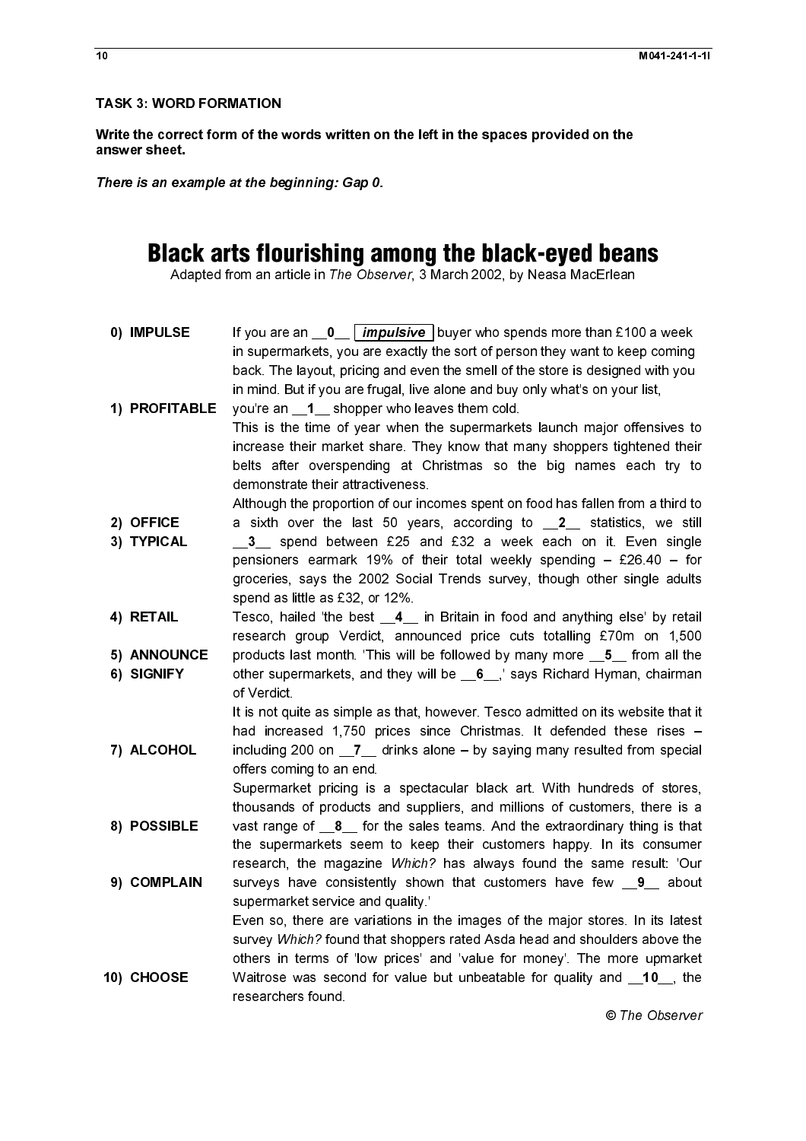# Black arts flourishing among the black-eyed beans

Adapted from an article in The Observer, 3 March 2002, by Neasa MacErlean

- in supermarkets, you are exactly the sort of person they want to keep coming back. The layout, pricing and even the smell of the store is designed with you in mind. But if you are frugal, live alone and buy only what's on your list,
- Write the correct form of the v<br>
Merite is an example at the be<br>
Black arts flo<br>
Adapted from an an<br>
0) IMPULSE If you are<br>
in superr<br>
back. The in superr<br>
back. The in mind.<br>
1) PROFITABLE you're are This is t<br>
locates<br>
l answer sheet.<br> **Black arts flourishing among the black-eyed bea**<br>
Maced from an article in The Observer. 3 Mach 2002, by Nessa MacErican<br>
(a) IMPULSE<br>
Maced from an article in The Observer. 3 Mach 2002, by Nessa MacErican There is an example and and analytical<br>
0) IMPULSE<br>
1) PROFITA<br>
2) OFFICE<br>
3) TYPICAL<br>
4) RETAIL<br>
5) ANNOUN<br>
6) SIGNIFY<br>
7) ALCOHO<br>
8) POSSIBL<br>
9) COMPLA **Black arts flourishing an**<br>Adapted from an article in *The Obse*<br>0) IMPULSE If you are an  $\frac{0}{2}$  in supermarkets, you are in<br>the beginning. But if you are fruction in mind. But if you are fructions<br>1) PROFITABLE your 1) PROFITAE<br>
2) OFFICE<br>
3) TYPICAL<br>
4) RETAIL<br>
5) ANNOUNC<br>
6) SIGNIFY<br>
7) ALCOHOL<br>
8) POSSIBLE<br>
9) COMPLAI 1) PROFITABLE<br>2) OFFICE<br>3) TYPICAL<br>4) RETAIL<br>5) ANNOUNCE<br>6) SIGNIFY<br>7) ALCOHOL<br>8) POSSIBLE<br>9) COMPLAIN<br>10) CHOOSE If you are an  $\Box$  <u>Impulsive</u> D buyer who spends more than £100 a week<br>in supermarkets, you are exactly the solid present the want to keep coming<br>back. The layout, pricing and even the smell of the stone is designed with you're an  $\_1$  shopper who leaves them cold.<br>This is the time of year when the supermarked bincrease their market share. They know that minicrease their market share. They know that mole allot demonstrate their attractiv This is the time of year when the supermarkets launch major offensives to increase their market share. They know that many shoppers tightened their belts after overspending at Christmas so the big names each try to demonstrate their attractiveness.

Although the proportion of our incomes spent on food has fallen from a third to

- pensioners earmark 19% of their total weekly spending – £26.40 – for groceries, says the 2002 Social Trends survey, though other single adults spend as little as £32, or 12%.
- 3) TYPICAL<br>4) RETAIL<br>6) ANNOUI<br>6) SIGNIFY<br>7) ALCOHC<br>8) POSSIBI<br>9) COMPLA 4) RETAIL<br>5) ANNOUN®<br>6) SIGNIFY<br>7) ALCOHOI<br>8) POSSIBLI<br>9) COMPLAI<br>10) CHOOSE 5) ANNOUI<br>6) SIGNIFY<br>7) ALCOH(<br>8) POSSIB<br>9) COMPL/<br>10) CHOOSI research group Verdict, announced price cuts totalling £70m on 1,500 of Verdict.

It is not quite as simple as that, however. Tesco admitted on its website that it had increased 1,750 prices since Christmas. It defended these rises – offers coming to an end.

a sixth over the last 50 years, according to  $\frac{2}{2}$  statistics, we still and  $\frac{3}{2}$  spend between £25 and £32 a week each on it. Even single pensioners earmark 19% of their total weekly spending  $-$  £26.40 – for spe **3**\_ spend between £25 and £32 a week each on it. Even single<br>passiones sammark 19% of their total weekly spending – £26.40 – for<br>groceries, says the 2002 Social Trends survey, though other single adults<br>spend as little Tesco, hailed 'the best  $-4$  in Britain in food and anything else' by retail<br>research group Verdict, announced price cuts totalling  $\bar{x}$  on n 1,500<br>products last month. This will be followed by many more  $-5$  from all t products last month. This will be followed by many more  $\underline{.5}$  from all the<br>of Verdict.<br>of Verdict.<br>It is not quite as simple as that, however. Tesco admitted on its website that it<br>let is not quite as simple as that, other supermarkets, and they will be  $\_6$ , 'says Richard Hyman, chairman<br>of Verdict.<br>It is not quite as simple as that, however. Tesco admitted on its website that it<br>had increased 1,750 prices since Christmas. It defend including 200 on  $\_7$  drinks alone – by saying many resulted from special<br>offers coming to an end.<br>Supermarket pricing is a spectacular black art. With hundreds of stores,<br>thousands of products and suppliers, and million Supermarket pricing is a spectacular black art. With hundreds of stores, thousands of products and suppliers, and millions of customers, there is a the supermarkets seem to keep their customers happy. In its consumer

7) ALCOHO<br>8) POSSIBL<br>9) COMPLA<br>10) CHOOSE 8) POSSIBLE<br>9) COMPLAIN<br>10) CHOOSE research, the magazine *Which?* has always found the same result: 'Our<br>surveys have consistently shown that customers have few <u>9</u>\_ about supermarket service and quality.'

5) SIGNIFY<br>
5) ALCOHOL<br>
5) POSSIBLE<br>
5) COMPLAIN<br>
5) CHOOSE vast range of  $\underline{\hspace{0.8cm}}8$  for the sales teams. And the extraordinary thing is that<br>the supermarkets seem to keep their customers happy. In its consumer<br>research, the magazine *Which?* has always found the same result: 9) COMPLAIN<br>10) CHOOSE<br>T surveys have consistently shown that customers have few  $\_9$  about<br>supermarket service and quality.'<br>Even so, there are variations in the images of the major stores. In its latest<br>survey Which? found that shoppers rated )<br>10) CHOOSE<br>Discreed on the Second Second Second Second Second Second Second Second Second Second Second Second Second Second Second Second Second Second Second Second Second Second Second Second Second Second Second Seco Even so, there are variations in the images of the major stores. In its latest survey Which? found that shoppers rated Asda head and shoulders above the others in terms of 'low prices' and 'value for money'. The more upmarket 10) CHOOSE Waitrose was second for value but unbeatable for quality and **\_\_10\_\_**, the researchers found.  $\bullet$  *The Observer* 11) CHOOSE<br>10) CHOOSE<br>10) CHOOSE researchers found.

© The Observer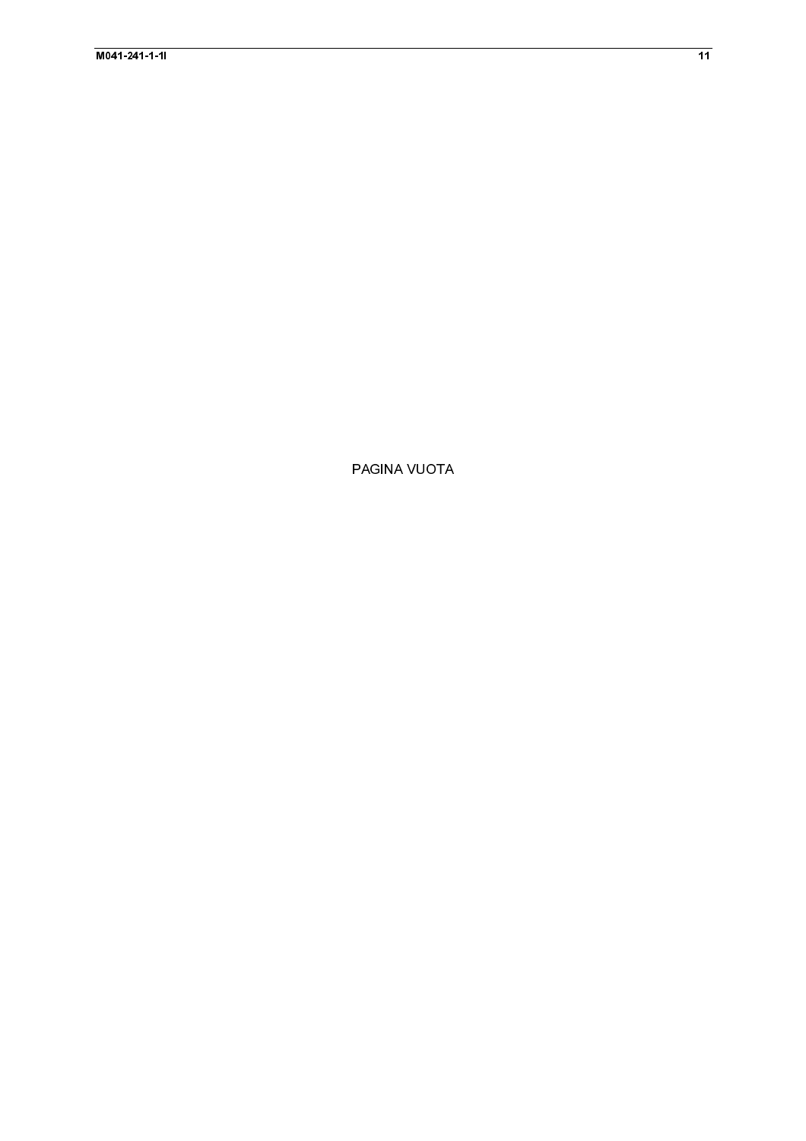PAGINA VUOTA